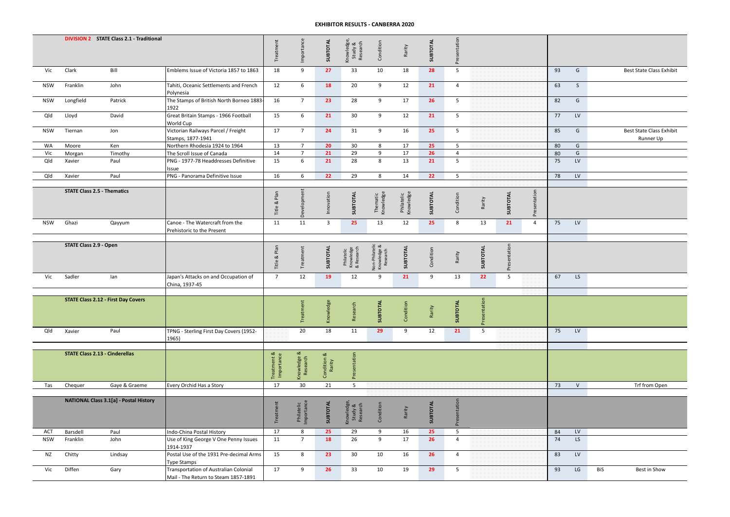|            |                                    | <b>DIVISION 2 STATE Class 2.1 - Traditional</b> |                                                                               | <b>Treatment</b>          | Importance               | SUBTOTAL              | Knowledge,<br>Study &<br>Research     | Condition                                 | Rarity                  | SUBTOTAL  | Presentation             |                 |                 |                  |    |                  |     |                                              |
|------------|------------------------------------|-------------------------------------------------|-------------------------------------------------------------------------------|---------------------------|--------------------------|-----------------------|---------------------------------------|-------------------------------------------|-------------------------|-----------|--------------------------|-----------------|-----------------|------------------|----|------------------|-----|----------------------------------------------|
| Vic        | Clark                              | Bill                                            | Emblems Issue of Victoria 1857 to 1863                                        | 18                        | 9                        | 27                    | 33                                    | 10                                        | 18                      | 28        | 5                        |                 |                 |                  | 93 | G                |     | Best State Class Exhibit                     |
| <b>NSW</b> | Franklin                           | John                                            | Tahiti, Oceanic Settlements and French<br>Polynesia                           | 12                        | 6                        | 18                    | 20                                    | 9                                         | 12                      | 21        | $\overline{4}$           |                 |                 |                  | 63 | S                |     |                                              |
| <b>NSW</b> | Longfield                          | Patrick                                         | The Stamps of British North Borneo 1883-<br>1922                              | 16                        | $\overline{7}$           | 23                    | 28                                    | 9                                         | 17                      | 26        | 5                        |                 |                 |                  | 82 | G                |     |                                              |
| Qld        | Lloyd                              | David                                           | Great Britain Stamps - 1966 Football<br>World Cup                             | 15                        | 6                        | 21                    | 30                                    | 9                                         | 12                      | 21        | 5                        |                 |                 |                  | 77 | LV               |     |                                              |
| <b>NSW</b> | Tiernan                            | Jon                                             | Victorian Railways Parcel / Freight<br>Stamps, 1877-1941                      | 17                        | $\overline{7}$           | 24                    | 31                                    | 9                                         | 16                      | 25        | 5                        |                 |                 |                  | 85 | G                |     | <b>Best State Class Exhibit</b><br>Runner Up |
| WA         | Moore                              | Ken                                             | Northern Rhodesia 1924 to 1964                                                | 13                        | $\overline{7}$           | 20                    | 30                                    | 8                                         | 17                      | 25        | $5\phantom{.0}$          |                 |                 |                  | 80 | G                |     |                                              |
| Vic        | Morgan                             | Timothy                                         | The Scroll Issue of Canada                                                    | 14                        | $\overline{7}$           | 21                    | 29                                    | 9                                         | 17                      | 26        | $\overline{4}$           |                 |                 |                  | 80 | G                |     |                                              |
| Qld        | Xavier                             | Paul                                            | PNG - 1977-78 Headdresses Definitive<br>Issue                                 | 15                        | $6\overline{6}$          | 21                    | 28                                    | 8                                         | 13                      | 21        | $\overline{\phantom{0}}$ |                 |                 |                  | 75 | LV               |     |                                              |
| Qld        | Xavier                             | Paul                                            | PNG - Panorama Definitive Issue                                               | 16                        | 6                        | 22                    | 29                                    | 8                                         | 14                      | 22        | 5                        |                 |                 |                  | 78 | $\mathsf{LV}$    |     |                                              |
|            | <b>STATE Class 2.5 - Thematics</b> |                                                 |                                                                               | Plan<br>×<br>Title        | Development              | Innovation            | SUBTOTAL                              | Thematic<br>Knowledge                     | Philatelic<br>Knowledge | SUBTOTAL  | Condition                | Rarity          | SUBTOTAL        | resentation<br>՟ |    |                  |     |                                              |
| <b>NSW</b> | Ghazi                              | Qayyum                                          | Canoe - The Watercraft from the<br>Prehistoric to the Present                 | 11                        | 11                       | $\overline{3}$        | 25                                    | 13                                        | 12                      | 25        | 8                        | 13              | 21              | $\overline{4}$   | 75 | ${\sf L}{\sf V}$ |     |                                              |
|            |                                    |                                                 |                                                                               |                           |                          |                       |                                       |                                           |                         |           |                          |                 |                 |                  |    |                  |     |                                              |
|            | <b>STATE Class 2.9 - Open</b>      |                                                 |                                                                               | Plan<br>$\infty$<br>Title | Treatment                | SUBTOTAL              | Philatelic<br>Knowledge<br>& Research | Non-Philatelic<br>Knowledge &<br>Research | SUBTOTAL                | Condition | Rarity                   | SUBTOTAL        | esentation<br>ᅕ |                  |    |                  |     |                                              |
| Vic        | Sadler                             | lan                                             | Japan's Attacks on and Occupation of<br>China, 1937-45                        | $\overline{7}$            | 12                       | 19                    | 12                                    | 9                                         | 21                      | 9         | 13                       | 22              | 5               |                  | 67 | LS               |     |                                              |
|            |                                    |                                                 |                                                                               |                           |                          |                       |                                       |                                           |                         |           |                          |                 |                 |                  |    |                  |     |                                              |
|            |                                    | <b>STATE Class 2.12 - First Day Covers</b>      |                                                                               |                           | Treatment                | Knowledge             | Research                              | SUBTOTAL                                  | Condition               | Rarity    | SUBTOTAL                 | esentation<br>ᅕ |                 |                  |    |                  |     |                                              |
| Qld        | Xavier                             | Paul                                            | TPNG - Sterling First Day Covers (1952-<br>1965)                              |                           | 20                       | 18                    | 11                                    | 29                                        | 9                       | 12        | 21                       | 5               |                 |                  | 75 | LV               |     |                                              |
|            |                                    |                                                 |                                                                               |                           |                          |                       |                                       |                                           |                         |           |                          |                 |                 |                  |    |                  |     |                                              |
|            |                                    | <b>STATE Class 2.13 - Cinderellas</b>           |                                                                               | Treatment &<br>Importance | Knowledge &<br>Research  | Condition &<br>Rarity | Presentation                          |                                           |                         |           |                          |                 |                 |                  |    |                  |     |                                              |
| Tas        | Chequer                            | Gaye & Graeme                                   | Every Orchid Has a Story                                                      | 17                        | 30                       | 21                    | 5                                     |                                           |                         |           |                          |                 |                 |                  | 73 | $\vee$           |     | Trf from Open                                |
|            |                                    |                                                 |                                                                               |                           |                          |                       |                                       |                                           |                         |           |                          |                 |                 |                  |    |                  |     |                                              |
|            |                                    | <b>NATIONAL Class 3.1[a] - Postal History</b>   |                                                                               | Treatment                 | Philatelic<br>Importance | SUBTOTAL              | Knowledge,<br>Study &<br>Research     | Condition                                 | Rarity                  | SUBTOTAL  | esentation<br>ᅕ          |                 |                 |                  |    |                  |     |                                              |
| <b>ACT</b> | Barsdell                           | Paul                                            | Indo-China Postal History                                                     | 17                        | 8                        | 25                    | 29                                    | 9                                         | 16                      | 25        | 5                        |                 |                 |                  | 84 | LV               |     |                                              |
| <b>NSW</b> | Franklin                           | John                                            | Use of King George V One Penny Issues<br>1914-1937                            | 11                        | $\overline{7}$           | 18                    | 26                                    | 9                                         | 17                      | 26        | $\overline{4}$           |                 |                 |                  | 74 | LS               |     |                                              |
| <b>NZ</b>  | Chitty                             | Lindsay                                         | Postal Use of the 1931 Pre-decimal Arms<br>Type Stamps                        | 15                        | 8                        | 23                    | 30                                    | 10                                        | 16                      | 26        | $\overline{4}$           |                 |                 |                  | 83 | <b>LV</b>        |     |                                              |
| Vic        | Diffen                             | Gary                                            | Transportation of Australian Colonial<br>Mail - The Return to Steam 1857-1891 | 17                        | 9                        | 26                    | 33                                    | 10                                        | 19                      | 29        | 5                        |                 |                 |                  | 93 | LG               | BiS | Best in Show                                 |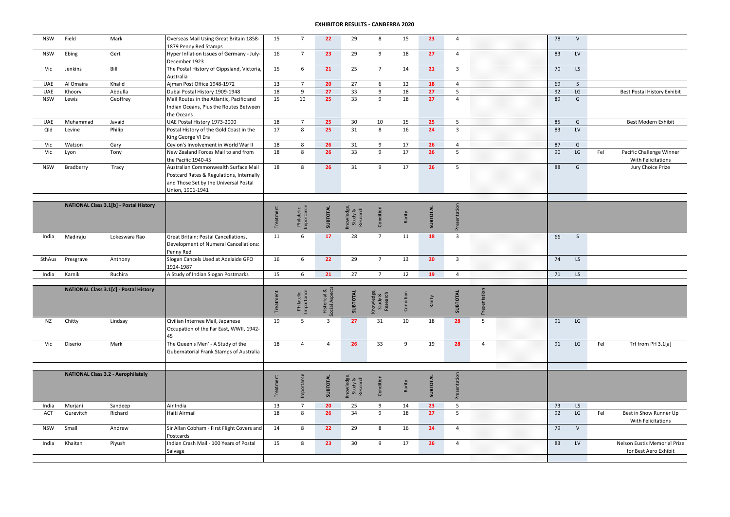| <b>NSW</b> | Field     | Mark                                      | Overseas Mail Using Great Britain 1858-<br>1879 Penny Red Stamps | 15        | $\overline{7}$           | 22                            | 29                                | 8                                 | 15        | 23       | $\overline{4}$          |                | 78 | $\vee$        |     |                              |
|------------|-----------|-------------------------------------------|------------------------------------------------------------------|-----------|--------------------------|-------------------------------|-----------------------------------|-----------------------------------|-----------|----------|-------------------------|----------------|----|---------------|-----|------------------------------|
| <b>NSW</b> | Ebing     | Gert                                      | Hyper Inflation Issues of Germany - July-                        | 16        | $\overline{7}$           | 23                            | 29                                | 9                                 | 18        | 27       | $\overline{4}$          |                | 83 | LV            |     |                              |
| Vic        | Jenkins   | Bill                                      | December 1923<br>The Postal History of Gippsland, Victoria,      | 15        | 6                        | 21                            | 25                                | $\overline{7}$                    | 14        | 21       | $\overline{3}$          |                | 70 | LS            |     |                              |
|            |           |                                           | Australia                                                        |           |                          |                               |                                   |                                   |           |          |                         |                |    |               |     |                              |
| <b>UAE</b> | Al Omaira | Khalid                                    | Ajman Post Office 1948-1972                                      | 13        | $\overline{7}$           | 20                            | 27                                | 6                                 | 12        | 18       | $\overline{4}$          |                | 69 | S             |     |                              |
| UAE        | Khoory    | Abdulla                                   | Dubai Postal History 1909-1948                                   | 18        | 9                        | 27                            | 33                                | 9                                 | 18        | 27       | 5                       |                | 92 | LG            |     | Best Postal History Exhibit  |
| <b>NSW</b> | Lewis     | Geoffrey                                  | Mail Routes in the Atlantic, Pacific and                         | 15        | 10                       | 25                            | 33                                | $\overline{9}$                    | 18        | 27       | $\overline{4}$          |                | 89 | G             |     |                              |
|            |           |                                           | Indian Oceans, Plus the Routes Between                           |           |                          |                               |                                   |                                   |           |          |                         |                |    |               |     |                              |
|            |           |                                           | the Oceans                                                       |           |                          |                               |                                   |                                   |           |          |                         |                |    |               |     |                              |
| <b>UAE</b> | Muhammad  | Javaid                                    | UAE Postal History 1973-2000                                     | 18        | $\overline{7}$           | 25                            | 30                                | 10                                | 15        | 25       | 5                       |                | 85 | G             |     | Best Modern Exhibit          |
| Qld        | Levine    | Philip                                    | Postal History of the Gold Coast in the                          | 17        | 8                        | 25                            | 31                                | 8                                 | 16        | 24       | $\overline{3}$          |                | 83 | LV            |     |                              |
|            |           |                                           | King George VI Era                                               |           |                          |                               |                                   |                                   |           |          |                         |                |    |               |     |                              |
| Vic        | Watson    | Gary                                      | Ceylon's Involvement in World War II                             | 18        | 8                        | 26                            | 31                                | 9                                 | 17        | 26       | $\overline{4}$          |                | 87 | G             |     |                              |
| Vic        | Lyon      | Tony                                      | New Zealand Forces Mail to and from                              | 18        | 8                        | 26                            | 33                                | 9                                 | 17        | 26       | 5                       |                | 90 | $\mathsf{LG}$ | Fel | Pacific Challenge Winner     |
|            |           |                                           | the Pacific 1940-45                                              |           |                          |                               |                                   |                                   |           |          |                         |                |    |               |     | With Felicitations           |
| <b>NSW</b> | Bradberry | Tracy                                     | Australian Commonwealth Surface Mail                             | 18        | 8                        | 26                            | 31                                | 9                                 | 17        | 26       | 5                       |                | 88 | G             |     | Jury Choice Prize            |
|            |           |                                           | Postcard Rates & Regulations, Internally                         |           |                          |                               |                                   |                                   |           |          |                         |                |    |               |     |                              |
|            |           |                                           | and Those Set by the Universal Postal                            |           |                          |                               |                                   |                                   |           |          |                         |                |    |               |     |                              |
|            |           |                                           | Union, 1901-1941                                                 |           |                          |                               |                                   |                                   |           |          |                         |                |    |               |     |                              |
|            |           | NATIONAL Class 3.1[b] - Postal History    |                                                                  |           |                          |                               |                                   |                                   |           |          |                         |                |    |               |     |                              |
|            |           |                                           |                                                                  | Treatment |                          | SUBTOTAL                      |                                   | Condition                         |           | SUBTOTAL |                         |                |    |               |     |                              |
|            |           |                                           |                                                                  |           |                          |                               |                                   |                                   | Rarity    |          |                         |                |    |               |     |                              |
|            |           |                                           |                                                                  |           | Philatelic<br>Importance |                               | Knowledge,<br>Study &<br>Research |                                   |           |          | Presentation            |                |    |               |     |                              |
| India      | Madiraju  | Lokeswara Rao                             | Great Britain: Postal Cancellations,                             | 11        | 6                        | 17                            | 28                                | $\overline{7}$                    | 11        | 18       | $\overline{\mathbf{3}}$ |                | 66 | S             |     |                              |
|            |           |                                           | Development of Numeral Cancellations:                            |           |                          |                               |                                   |                                   |           |          |                         |                |    |               |     |                              |
|            |           |                                           | Penny Red                                                        |           |                          |                               |                                   |                                   |           |          |                         |                |    |               |     |                              |
| SthAus     | Presgrave | Anthony                                   | Slogan Cancels Used at Adelaide GPO                              | 16        | 6                        | 22                            | 29                                | $7\overline{ }$                   | 13        | 20       | $\overline{3}$          |                | 74 | LS            |     |                              |
|            |           |                                           | 1924-1987                                                        |           |                          |                               |                                   |                                   |           |          |                         |                |    |               |     |                              |
| India      | Karnik    | Ruchira                                   | A Study of Indian Slogan Postmarks                               | 15        | $6\overline{6}$          | 21                            | 27                                | $7\overline{ }$                   | 12        | 19       | $\overline{4}$          |                | 71 | LS            |     |                              |
|            |           | NATIONAL Class 3.1[c] - Postal History    |                                                                  |           |                          |                               |                                   |                                   |           |          |                         |                |    |               |     |                              |
|            |           |                                           |                                                                  |           |                          |                               |                                   |                                   |           |          |                         |                |    |               |     |                              |
|            |           |                                           |                                                                  |           |                          |                               |                                   |                                   | Condition | Rarity   |                         |                |    |               |     |                              |
|            |           |                                           |                                                                  | Treatment | Philatelic<br>Importance | Historical &<br>ocial Aspects | SUBTOTAL                          | Knowledge,<br>Study &<br>Research |           |          | SUBTOTAL                | Presentation   |    |               |     |                              |
|            |           |                                           | Civilian Internee Mail, Japanese                                 |           | 5                        | $\overline{\mathbf{3}}$       | 27                                | 31                                | 10        | 18       | 28                      | 5              | 91 | $\mathsf{LG}$ |     |                              |
| NZ         | Chitty    | Lindsay                                   | Occupation of the Far East, WWII, 1942-                          | 19        |                          |                               |                                   |                                   |           |          |                         |                |    |               |     |                              |
|            |           |                                           | 45                                                               |           |                          |                               |                                   |                                   |           |          |                         |                |    |               |     |                              |
| Vic        | Diserio   | Mark                                      | The Queen's Men' - A Study of the                                | 18        | $\overline{4}$           | $\overline{4}$                | 26                                | 33                                | 9         | 19       | 28                      | $\overline{4}$ | 91 | LG            | Fel | Trf from PH 3.1[a]           |
|            |           |                                           | Gubernatorial Frank Stamps of Australia                          |           |                          |                               |                                   |                                   |           |          |                         |                |    |               |     |                              |
|            |           |                                           |                                                                  |           |                          |                               |                                   |                                   |           |          |                         |                |    |               |     |                              |
|            |           |                                           |                                                                  |           |                          |                               |                                   |                                   |           |          |                         |                |    |               |     |                              |
|            |           | <b>NATIONAL Class 3.2 - Aerophilately</b> |                                                                  |           |                          |                               |                                   |                                   |           |          |                         |                |    |               |     |                              |
|            |           |                                           |                                                                  |           |                          |                               |                                   |                                   |           |          |                         |                |    |               |     |                              |
|            |           |                                           |                                                                  | Treatment | Importance               | SUBTOTAL                      | Knowledge,<br>Study &<br>Research | Condition                         | Rarity    | SUBTOTAL | Presentation            |                |    |               |     |                              |
|            |           |                                           |                                                                  |           |                          |                               |                                   |                                   |           |          |                         |                |    |               |     |                              |
| India      | Murjani   | Sandeep                                   | Air India                                                        | 13        | $\overline{7}$           | 20                            | 25                                | 9                                 | 14        | 23       | 5                       |                | 73 | LS            |     |                              |
| ACT        | Gurevitch | Richard                                   | Haiti Airmail                                                    | 18        | 8                        | 26                            | 34                                | 9                                 | 18        | 27       | 5                       |                | 92 | LG            | Fel | Best in Show Runner Up       |
|            |           |                                           |                                                                  |           |                          |                               |                                   |                                   |           |          |                         |                |    |               |     | With Felicitations           |
| <b>NSW</b> | Small     | Andrew                                    | Sir Allan Cobham - First Flight Covers and                       | 14        | 8                        | 22                            | 29                                | 8                                 | 16        | 24       | $\overline{4}$          |                | 79 | V             |     |                              |
|            |           |                                           | Postcards                                                        |           |                          |                               |                                   |                                   |           |          |                         |                |    |               |     |                              |
| India      | Khaitan   | Piyush                                    | Indian Crash Mail - 100 Years of Postal                          | 15        | 8                        | 23                            | 30                                | 9                                 | 17        | 26       | $\overline{4}$          |                | 83 | LV            |     | Nelson Eustis Memorial Prize |
|            |           |                                           | Salvage                                                          |           |                          |                               |                                   |                                   |           |          |                         |                |    |               |     | for Best Aero Exhibit        |
|            |           |                                           |                                                                  |           |                          |                               |                                   |                                   |           |          |                         |                |    |               |     |                              |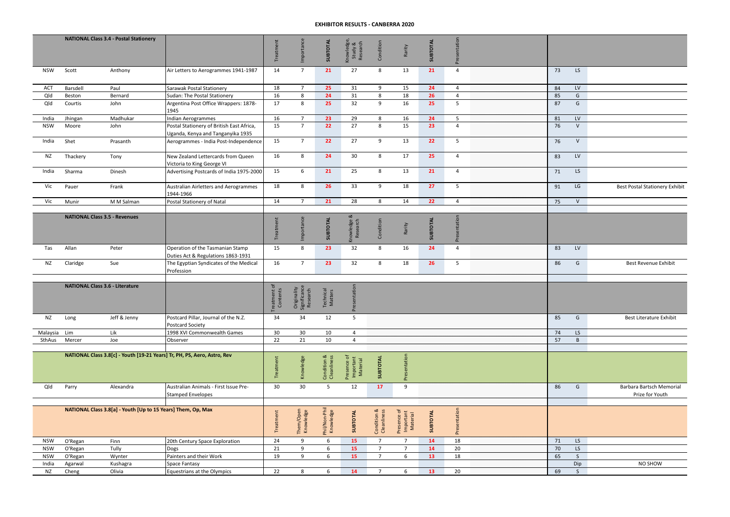|            |          | <b>NATIONAL Class 3.4 - Postal Stationery</b>                |                                                                                | Treatment               | Importance                              | SUBTOTAL                   | Knowledge,<br>Study &<br>Research    | Condition                  | Rarity                               | SUBTOTAL        | Presentation   |    |              |                                             |
|------------|----------|--------------------------------------------------------------|--------------------------------------------------------------------------------|-------------------------|-----------------------------------------|----------------------------|--------------------------------------|----------------------------|--------------------------------------|-----------------|----------------|----|--------------|---------------------------------------------|
| <b>NSW</b> | Scott    | Anthony                                                      | Air Letters to Aerogrammes 1941-1987                                           | 14                      | $\overline{7}$                          | 21                         | 27                                   | 8                          | 13                                   | 21              | $\overline{4}$ | 73 | LS           |                                             |
| ACT        | Barsdell | Paul                                                         | Sarawak Postal Stationery                                                      | 18                      | $\overline{7}$                          | 25                         | 31                                   | 9                          | 15                                   | 24              | $\overline{4}$ | 84 | <b>LV</b>    |                                             |
| Qld        | Beston   | Bernard                                                      | Sudan: The Postal Stationery                                                   | 16                      | $8\phantom{1}$                          | 24                         | 31                                   | 8                          | 18                                   | 26              | $\overline{4}$ | 85 | G            |                                             |
| Qld        | Courtis  | John                                                         | Argentina Post Office Wrappers: 1878-<br>1945                                  | 17                      | 8                                       | 25                         | 32                                   | 9                          | 16                                   | 25              | 5              | 87 | G            |                                             |
| India      | Jhingan  | Madhukar                                                     | ndian Aerogrammes                                                              | 16                      | $\overline{7}$                          | 23                         | 29                                   | 8                          | 16                                   | 24              | 5              | 81 | LV           |                                             |
| <b>NSW</b> | Moore    | John                                                         | Postal Stationery of British East Africa,<br>Uganda, Kenya and Tanganyika 1935 | 15                      | $\overline{7}$                          | 22                         | 27                                   | 8                          | 15                                   | 23              | $\overline{4}$ | 76 | $\vee$       |                                             |
| India      | Shet     | Prasanth                                                     | Aerogrammes - India Post-Independence                                          | 15                      | $\overline{7}$                          | 22                         | 27                                   | 9                          | 13                                   | 22              | 5              | 76 | ${\sf V}$    |                                             |
| <b>NZ</b>  | Thackery | Tony                                                         | New Zealand Lettercards from Queen<br>Victoria to King George VI               | 16                      | 8                                       | 24                         | 30                                   | 8                          | 17                                   | 25              | $\overline{4}$ | 83 | LV           |                                             |
| India      | Sharma   | Dinesh                                                       | Advertising Postcards of India 1975-2000                                       | 15                      | 6                                       | 21                         | 25                                   | 8                          | 13                                   | 21              | $\overline{4}$ | 71 | LS           |                                             |
| Vic        | Pauer    | Frank                                                        | Australian Airletters and Aerogrammes<br>1944-1966                             | 18                      | 8                                       | 26                         | 33                                   | 9                          | 18                                   | 27              | 5              | 91 | LG           | <b>Best Postal Stationery Exhibit</b>       |
| Vic        | Munir    | M M Salman                                                   | Postal Stationery of Natal                                                     | 14                      | $\overline{7}$                          | 21                         | 28                                   | 8                          | 14                                   | 22              | $\overline{4}$ | 75 | ${\sf V}$    |                                             |
|            |          |                                                              |                                                                                |                         |                                         |                            |                                      |                            |                                      |                 |                |    |              |                                             |
|            |          | <b>NATIONAL Class 3.5 - Revenues</b>                         |                                                                                | ent<br>Treatme          | nce<br>Importar                         | SUBTOTAL                   | Knowledge &<br>Research              | Condition                  | Rarity                               | SUBTOTAL        | Presentation   |    |              |                                             |
| Tas        | Allan    | Peter                                                        | Operation of the Tasmanian Stamp<br>Duties Act & Regulations 1863-1931         | 15                      | 8                                       | 23                         | 32                                   | 8                          | 16                                   | 24              | $\overline{4}$ | 83 | LV           |                                             |
| <b>NZ</b>  | Claridge | Sue                                                          | The Egyptian Syndicates of the Medical<br>Profession                           | 16                      | $7^{\circ}$                             | 23                         | 32                                   | 8                          | 18                                   | 26              | 5              | 86 | G            | <b>Best Revenue Exhibit</b>                 |
|            |          |                                                              |                                                                                |                         |                                         |                            |                                      |                            |                                      |                 |                |    |              |                                             |
|            |          | <b>NATIONAL Class 3.6 - Literature</b>                       |                                                                                | reatment of<br>Contents | Originality<br>Significance<br>Research | Technical<br>Matters       | entation<br>ᅕ                        |                            |                                      |                 |                |    |              |                                             |
| <b>NZ</b>  | Long     | Jeff & Jenny                                                 | Postcard Pillar, Journal of the N.Z.<br>Postcard Society                       | 34                      | 34                                      | 12                         | 5                                    |                            |                                      |                 |                | 85 | G            | Best Literature Exhibit                     |
| Malaysia   | Lim      | Lik                                                          | 1998 XVI Commonwealth Games                                                    | 30                      | 30                                      | 10                         | $\overline{4}$                       |                            |                                      |                 |                | 74 | LS           |                                             |
| SthAus     | Mercer   | Joe                                                          | Observer                                                                       | 22                      | 21                                      | 10                         | $\overline{4}$                       |                            |                                      |                 |                | 57 | B            |                                             |
|            |          |                                                              | NATIONAL Class 3.8[c] - Youth [19-21 Years] Tr, PH, PS, Aero, Astro, Rev       | Treatment               | Knowledge                               | Condition &<br>Cleanliness | Presence of<br>Important<br>Material | SUBTOTAL                   | Presentation                         |                 |                |    |              |                                             |
|            |          |                                                              |                                                                                |                         |                                         |                            |                                      |                            |                                      |                 |                |    |              |                                             |
| Qld        | Parry    | Alexandra                                                    | Australian Animals - First Issue Pre-<br><b>Stamped Envelopes</b>              | 30                      | 30                                      | 5                          | 12                                   | 17                         | 9                                    |                 |                | 86 | G            | Barbara Bartsch Memorial<br>Prize for Youth |
|            |          |                                                              |                                                                                |                         |                                         |                            |                                      |                            |                                      |                 |                |    |              |                                             |
|            |          | NATIONAL Class 3.8[a] - Youth [Up to 15 Years] Them, Op, Max |                                                                                | Treatment               | Them/Open<br>Knowledge                  | Phil/Non-Phil<br>Knowledge | <b>SUBTOTAL</b>                      | Condition &<br>Cleanliness | Presence of<br>Important<br>Material | <b>SUBTOTAL</b> | Presentation   |    |              |                                             |
| <b>NSW</b> | O'Regan  | Finn                                                         | 20th Century Space Exploration                                                 | 24                      | 9                                       | 6                          | 15                                   | $\overline{7}$             | $\overline{7}$                       | 14              | 18             | 71 | LS           |                                             |
| <b>NSW</b> | O'Regan  | Tully                                                        | Dogs                                                                           | 21                      | 9                                       | 6                          | 15                                   | $\overline{7}$             | $\overline{7}$                       | 14              | 20             | 70 | LS           |                                             |
| <b>NSW</b> | O'Regan  | Wynter                                                       | Painters and their Work                                                        | 19                      | 9                                       | 6                          | 15                                   | $\overline{7}$             | 6                                    | 13              | 18             | 65 | $\mathsf{S}$ |                                             |
| India      | Agarwal  | Kushagra                                                     | Space Fantasy                                                                  | 22                      |                                         |                            | 14                                   | $\overline{7}$             |                                      |                 |                |    | Dip          | NO SHOW                                     |
| <b>NZ</b>  | Cheng    | Olivia                                                       | Equestrians at the Olympics                                                    |                         | 8                                       | 6                          |                                      |                            | 6                                    | 13              | 20             | 69 | $\mathsf{S}$ |                                             |